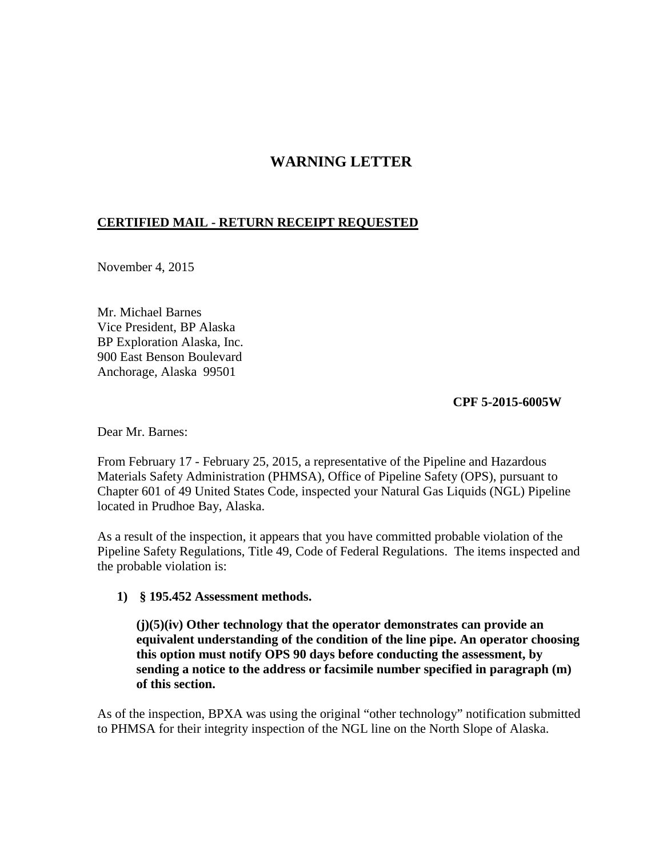## **WARNING LETTER**

## **CERTIFIED MAIL - RETURN RECEIPT REQUESTED**

November 4, 2015

Mr. Michael Barnes Vice President, BP Alaska BP Exploration Alaska, Inc. 900 East Benson Boulevard Anchorage, Alaska 99501

**CPF 5-2015-6005W** 

Dear Mr. Barnes:

From February 17 - February 25, 2015, a representative of the Pipeline and Hazardous Materials Safety Administration (PHMSA), Office of Pipeline Safety (OPS), pursuant to Chapter 601 of 49 United States Code, inspected your Natural Gas Liquids (NGL) Pipeline located in Prudhoe Bay, Alaska.

As a result of the inspection, it appears that you have committed probable violation of the Pipeline Safety Regulations, Title 49, Code of Federal Regulations. The items inspected and the probable violation is:

## **1) § 195.452 Assessment methods.**

**(j)(5)(iv) Other technology that the operator demonstrates can provide an equivalent understanding of the condition of the line pipe. An operator choosing this option must notify OPS 90 days before conducting the assessment, by sending a notice to the address or facsimile number specified in paragraph (m) of this section.**

As of the inspection, BPXA was using the original "other technology" notification submitted to PHMSA for their integrity inspection of the NGL line on the North Slope of Alaska.